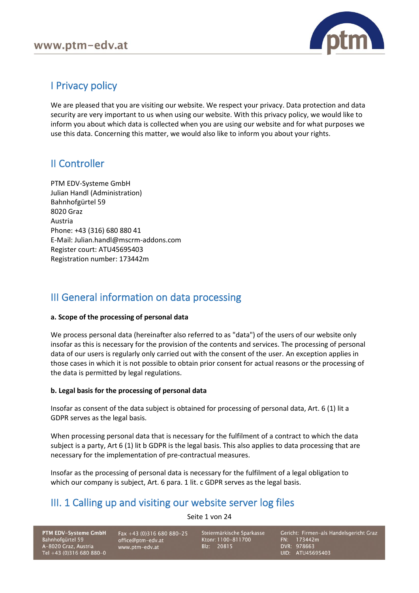

# I Privacy policy

We are pleased that you are visiting our website. We respect your privacy. Data protection and data security are very important to us when using our website. With this privacy policy, we would like to inform you about which data is collected when you are using our website and for what purposes we use this data. Concerning this matter, we would also like to inform you about your rights.

# II Controller

PTM EDV-Systeme GmbH Julian Handl (Administration) Bahnhofgürtel 59 8020 Graz Austria Phone: +43 (316) 680 880 41 E-Mail: Julian.handl@mscrm-addons.com Register court: ATU45695403 Registration number: 173442m

# III General information on data processing

## **a. Scope of the processing of personal data**

We process personal data (hereinafter also referred to as "data") of the users of our website only insofar as this is necessary for the provision of the contents and services. The processing of personal data of our users is regularly only carried out with the consent of the user. An exception applies in those cases in which it is not possible to obtain prior consent for actual reasons or the processing of the data is permitted by legal regulations.

## **b. Legal basis for the processing of personal data**

Insofar as consent of the data subject is obtained for processing of personal data, Art. 6 (1) lit a GDPR serves as the legal basis.

When processing personal data that is necessary for the fulfilment of a contract to which the data subject is a party, Art 6 (1) lit b GDPR is the legal basis. This also applies to data processing that are necessary for the implementation of pre-contractual measures.

Insofar as the processing of personal data is necessary for the fulfilment of a legal obligation to which our company is subject, Art. 6 para. 1 lit. c GDPR serves as the legal basis.

# III. 1 Calling up and visiting our website server log files

Seite 1 von 24

PTM EDV-Systeme GmbH Bahnhofgürtel 59 A-8020 Graz, Austria Tel +43 (0)316 680 880-0

Fax +43 (0)316 680 880-25 office@ptm-edv.at www.ptm-edv.at

Steiermärkische Sparkasse Ktonr: 1100-811700 Blz: 20815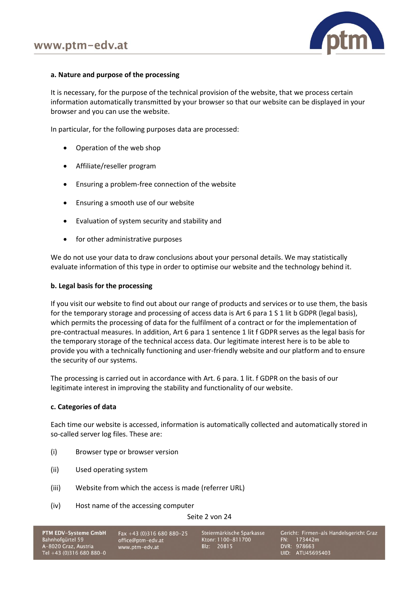

## **a. Nature and purpose of the processing**

It is necessary, for the purpose of the technical provision of the website, that we process certain information automatically transmitted by your browser so that our website can be displayed in your browser and you can use the website.

In particular, for the following purposes data are processed:

- Operation of the web shop
- Affiliate/reseller program
- Ensuring a problem-free connection of the website
- Ensuring a smooth use of our website
- Evaluation of system security and stability and
- for other administrative purposes

We do not use your data to draw conclusions about your personal details. We may statistically evaluate information of this type in order to optimise our website and the technology behind it.

## **b. Legal basis for the processing**

If you visit our website to find out about our range of products and services or to use them, the basis for the temporary storage and processing of access data is Art 6 para 1 S 1 lit b GDPR (legal basis), which permits the processing of data for the fulfilment of a contract or for the implementation of pre-contractual measures. In addition, Art 6 para 1 sentence 1 lit f GDPR serves as the legal basis for the temporary storage of the technical access data. Our legitimate interest here is to be able to provide you with a technically functioning and user-friendly website and our platform and to ensure the security of our systems.

The processing is carried out in accordance with Art. 6 para. 1 lit. f GDPR on the basis of our legitimate interest in improving the stability and functionality of our website.

## **c. Categories of data**

Each time our website is accessed, information is automatically collected and automatically stored in so-called server log files. These are:

- (i) Browser type or browser version
- (ii) Used operating system
- (iii) Website from which the access is made (referrer URL)
- (iv) Host name of the accessing computer

Seite 2 von 24

| <b>PTM EDV-Systeme GmbH</b> | Fax +43 (0)316 680 880-25 | Steiermärkische Sparkasse | Gericht: Firmen-als Handelsgericht Graz |
|-----------------------------|---------------------------|---------------------------|-----------------------------------------|
| Bahnhofgürtel 59            | office@ptm-edv.at         | Ktonr: 1100-811700        | FN: 173442m                             |
| A-8020 Graz, Austria        | www.ptm-edv.at            | Blz: 20815                | DVR: 978663                             |
| Tel $+43$ (0)316 680 880-0  |                           |                           | UID: ATU45695403                        |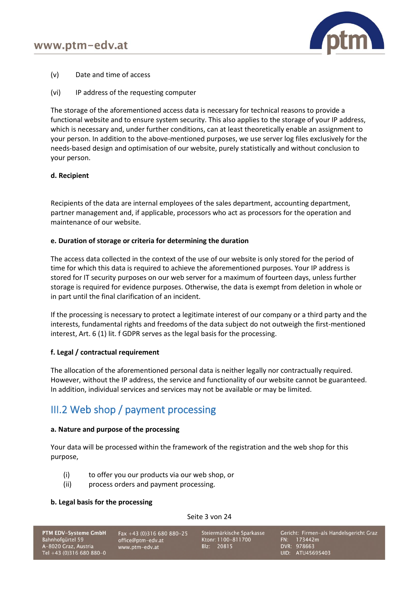

- (v) Date and time of access
- (vi) IP address of the requesting computer

The storage of the aforementioned access data is necessary for technical reasons to provide a functional website and to ensure system security. This also applies to the storage of your IP address, which is necessary and, under further conditions, can at least theoretically enable an assignment to your person. In addition to the above-mentioned purposes, we use server log files exclusively for the needs-based design and optimisation of our website, purely statistically and without conclusion to your person.

## **d. Recipient**

Recipients of the data are internal employees of the sales department, accounting department, partner management and, if applicable, processors who act as processors for the operation and maintenance of our website.

## **e. Duration of storage or criteria for determining the duration**

The access data collected in the context of the use of our website is only stored for the period of time for which this data is required to achieve the aforementioned purposes. Your IP address is stored for IT security purposes on our web server for a maximum of fourteen days, unless further storage is required for evidence purposes. Otherwise, the data is exempt from deletion in whole or in part until the final clarification of an incident.

If the processing is necessary to protect a legitimate interest of our company or a third party and the interests, fundamental rights and freedoms of the data subject do not outweigh the first-mentioned interest, Art. 6 (1) lit. f GDPR serves as the legal basis for the processing.

## **f. Legal / contractual requirement**

The allocation of the aforementioned personal data is neither legally nor contractually required. However, without the IP address, the service and functionality of our website cannot be guaranteed. In addition, individual services and services may not be available or may be limited.

# III.2 Web shop / payment processing

## **a. Nature and purpose of the processing**

Your data will be processed within the framework of the registration and the web shop for this purpose,

- (i) to offer you our products via our web shop, or
- (ii) process orders and payment processing.

## **b. Legal basis for the processing**

## Seite 3 von 24

## PTM EDV-Systeme GmbH Bahnhofgürtel 59 A-8020 Graz, Austria<br>Tel +43 (0)316 680 880-0

Fax +43 (0)316 680 880-25 office@ptm-edv.at www.ptm-edv.at

Steiermärkische Sparkasse Ktonr: 1100-811700 Blz: 20815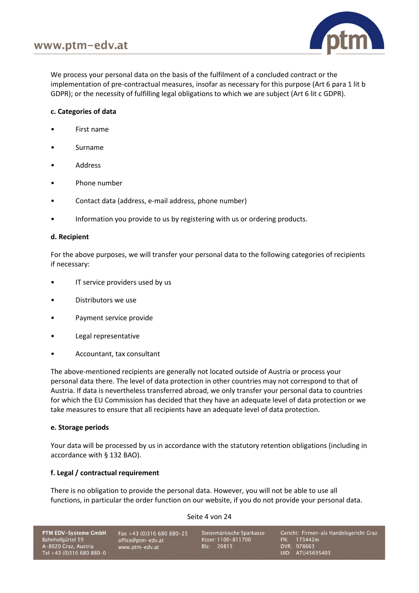

We process your personal data on the basis of the fulfilment of a concluded contract or the implementation of pre-contractual measures, insofar as necessary for this purpose (Art 6 para 1 lit b GDPR); or the necessity of fulfilling legal obligations to which we are subject (Art 6 lit c GDPR).

## **c. Categories of data**

- First name
- Surname
- **Address**
- Phone number
- Contact data (address, e-mail address, phone number)
- Information you provide to us by registering with us or ordering products.

## **d. Recipient**

For the above purposes, we will transfer your personal data to the following categories of recipients if necessary:

- IT service providers used by us
- Distributors we use
- Payment service provide
- Legal representative
- Accountant, tax consultant

The above-mentioned recipients are generally not located outside of Austria or process your personal data there. The level of data protection in other countries may not correspond to that of Austria. If data is nevertheless transferred abroad, we only transfer your personal data to countries for which the EU Commission has decided that they have an adequate level of data protection or we take measures to ensure that all recipients have an adequate level of data protection.

## **e. Storage periods**

Your data will be processed by us in accordance with the statutory retention obligations (including in accordance with § 132 BAO).

## **f. Legal / contractual requirement**

There is no obligation to provide the personal data. However, you will not be able to use all functions, in particular the order function on our website, if you do not provide your personal data.

## Seite 4 von 24

PTM EDV-Systeme GmbH Bahnhofgürtel 59 A-8020 Graz, Austria<br>Tel +43 (0)316 680 880-0

Fax +43 (0)316 680 880-25 office@ptm-edv.at www.ptm-edv.at

Steiermärkische Sparkasse Ktonr: 1100-811700 Blz: 20815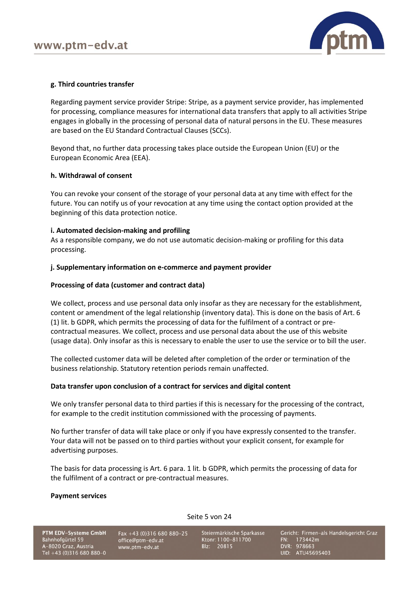

## **g. Third countries transfer**

Regarding payment service provider Stripe: Stripe, as a payment service provider, has implemented for processing, compliance measures for international data transfers that apply to all activities Stripe engages in globally in the processing of personal data of natural persons in the EU. These measures are based on the EU Standard Contractual Clauses (SCCs).

Beyond that, no further data processing takes place outside the European Union (EU) or the European Economic Area (EEA).

## **h. Withdrawal of consent**

You can revoke your consent of the storage of your personal data at any time with effect for the future. You can notify us of your revocation at any time using the contact option provided at the beginning of this data protection notice.

#### **i. Automated decision-making and profiling**

As a responsible company, we do not use automatic decision-making or profiling for this data processing.

#### **j. Supplementary information on e-commerce and payment provider**

#### **Processing of data (customer and contract data)**

We collect, process and use personal data only insofar as they are necessary for the establishment, content or amendment of the legal relationship (inventory data). This is done on the basis of Art. 6 (1) lit. b GDPR, which permits the processing of data for the fulfilment of a contract or precontractual measures. We collect, process and use personal data about the use of this website (usage data). Only insofar as this is necessary to enable the user to use the service or to bill the user.

The collected customer data will be deleted after completion of the order or termination of the business relationship. Statutory retention periods remain unaffected.

#### **Data transfer upon conclusion of a contract for services and digital content**

We only transfer personal data to third parties if this is necessary for the processing of the contract, for example to the credit institution commissioned with the processing of payments.

No further transfer of data will take place or only if you have expressly consented to the transfer. Your data will not be passed on to third parties without your explicit consent, for example for advertising purposes.

The basis for data processing is Art. 6 para. 1 lit. b GDPR, which permits the processing of data for the fulfilment of a contract or pre-contractual measures.

Seite 5 von 24

#### **Payment services**

PTM EDV-Systeme GmbH Bahnhofgürtel 59 A-8020 Graz, Austria Tel +43 (0)316 680 880-0

Fax +43 (0)316 680 880-25 office@ptm-edv.at www.ptm-edv.at

Steiermärkische Sparkasse Ktonr: 1100-811700 Blz: 20815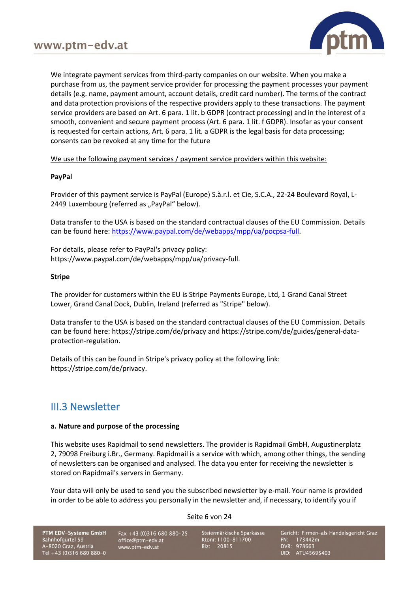

We integrate payment services from third-party companies on our website. When you make a purchase from us, the payment service provider for processing the payment processes your payment details (e.g. name, payment amount, account details, credit card number). The terms of the contract and data protection provisions of the respective providers apply to these transactions. The payment service providers are based on Art. 6 para. 1 lit. b GDPR (contract processing) and in the interest of a smooth, convenient and secure payment process (Art. 6 para. 1 lit. f GDPR). Insofar as your consent is requested for certain actions, Art. 6 para. 1 lit. a GDPR is the legal basis for data processing; consents can be revoked at any time for the future

We use the following payment services / payment service providers within this website:

## **PayPal**

Provider of this payment service is PayPal (Europe) S.à.r.l. et Cie, S.C.A., 22-24 Boulevard Royal, L-2449 Luxembourg (referred as "PayPal" below).

Data transfer to the USA is based on the standard contractual clauses of the EU Commission. Details can be found here: [https://www.paypal.com/de/webapps/mpp/ua/pocpsa-full.](https://www.paypal.com/de/webapps/mpp/ua/pocpsa-full)

For details, please refer to PayPal's privacy policy: [https://www.paypal.com/de/webapps/mpp/ua/privacy-full.](https://www.paypal.com/de/webapps/mpp/ua/privacy-full)

## **Stripe**

The provider for customers within the EU is Stripe Payments Europe, Ltd, 1 Grand Canal Street Lower, Grand Canal Dock, Dublin, Ireland (referred as "Stripe" below).

Data transfer to the USA is based on the standard contractual clauses of the EU Commission. Details can be found here:<https://stripe.com/de/privacy> and [https://stripe.com/de/guides/general-data](https://stripe.com/de/guides/general-data-protection-regulation)[protection-regulation.](https://stripe.com/de/guides/general-data-protection-regulation)

Details of this can be found in Stripe's privacy policy at the following link: [https://stripe.com/de/privacy.](https://stripe.com/de/privacy)

## III.3 Newsletter

## **a. Nature and purpose of the processing**

This website uses Rapidmail to send newsletters. The provider is Rapidmail GmbH, Augustinerplatz 2, 79098 Freiburg i.Br., Germany. Rapidmail is a service with which, among other things, the sending of newsletters can be organised and analysed. The data you enter for receiving the newsletter is stored on Rapidmail's servers in Germany.

Your data will only be used to send you the subscribed newsletter by e-mail. Your name is provided in order to be able to address you personally in the newsletter and, if necessary, to identify you if

Seite 6 von 24

PTM EDV-Systeme GmbH Bahnhofgürtel 59 A-8020 Graz, Austria<br>Tel +43 (0)316 680 880-0

Fax +43 (0)316 680 880-25 office@ptm-edv.at www.ptm-edv.at

Steiermärkische Sparkasse Ktonr: 1100-811700 Blz: 20815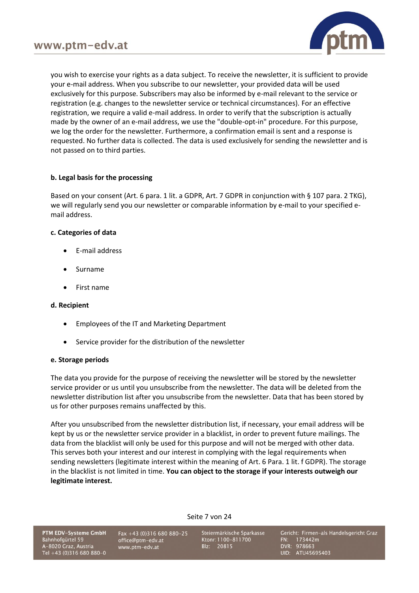

you wish to exercise your rights as a data subject. To receive the newsletter, it is sufficient to provide your e-mail address. When you subscribe to our newsletter, your provided data will be used exclusively for this purpose. Subscribers may also be informed by e-mail relevant to the service or registration (e.g. changes to the newsletter service or technical circumstances). For an effective registration, we require a valid e-mail address. In order to verify that the subscription is actually made by the owner of an e-mail address, we use the "double-opt-in" procedure. For this purpose, we log the order for the newsletter. Furthermore, a confirmation email is sent and a response is requested. No further data is collected. The data is used exclusively for sending the newsletter and is not passed on to third parties.

## **b. Legal basis for the processing**

Based on your consent (Art. 6 para. 1 lit. a GDPR, Art. 7 GDPR in conjunction with § 107 para. 2 TKG), we will regularly send you our newsletter or comparable information by e-mail to your specified email address.

## **c. Categories of data**

- E-mail address
- Surname
- First name

## **d. Recipient**

- Employees of the IT and Marketing Department
- Service provider for the distribution of the newsletter

## **e. Storage periods**

The data you provide for the purpose of receiving the newsletter will be stored by the newsletter service provider or us until you unsubscribe from the newsletter. The data will be deleted from the newsletter distribution list after you unsubscribe from the newsletter. Data that has been stored by us for other purposes remains unaffected by this.

After you unsubscribed from the newsletter distribution list, if necessary, your email address will be kept by us or the newsletter service provider in a blacklist, in order to prevent future mailings. The data from the blacklist will only be used for this purpose and will not be merged with other data. This serves both your interest and our interest in complying with the legal requirements when sending newsletters (legitimate interest within the meaning of Art. 6 Para. 1 lit. f GDPR). The storage in the blacklist is not limited in time. **You can object to the storage if your interests outweigh our legitimate interest.**

Seite 7 von 24

PTM EDV-Systeme GmbH Bahnhofgürtel 59 A-8020 Graz, Austria<br>Tel +43 (0)316 680 880-0

Fax +43 (0)316 680 880-25 office@ptm-edv.at www.ptm-edv.at

Steiermärkische Sparkasse Ktonr: 1100-811700 Blz: 20815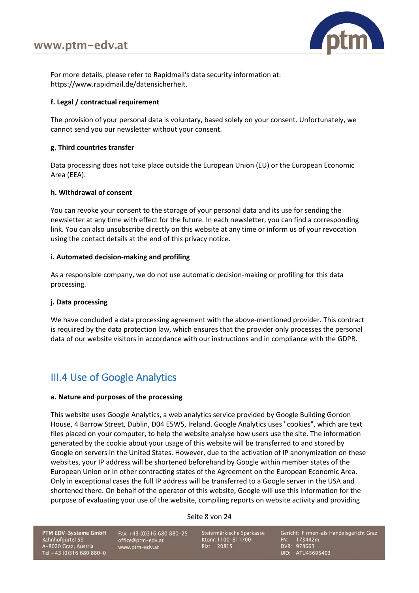

For more details, please refer to Rapidmail's data security information at: [https://www.rapidmail.de/datensicherheit.](https://www.rapidmail.de/datensicherheit)

## **f. Legal / contractual requirement**

The provision of your personal data is voluntary, based solely on your consent. Unfortunately, we cannot send you our newsletter without your consent.

## **g. Third countries transfer**

Data processing does not take place outside the European Union (EU) or the European Economic Area (EEA).

## **h. Withdrawal of consent**

You can revoke your consent to the storage of your personal data and its use for sending the newsletter at any time with effect for the future. In each newsletter, you can find a corresponding link. You can also unsubscribe directly on this website at any time or inform us of your revocation using the contact details at the end of this privacy notice.

## **i. Automated decision-making and profiling**

As a responsible company, we do not use automatic decision-making or profiling for this data processing.

## **j. Data processing**

We have concluded a data processing agreement with the above-mentioned provider. This contract is required by the data protection law, which ensures that the provider only processes the personal data of our website visitors in accordance with our instructions and in compliance with the GDPR.

# III.4 Use of Google Analytics

## **a. Nature and purposes of the processing**

This website uses Google Analytics, a web analytics service provided by Google Building Gordon House, 4 Barrow Street, Dublin, D04 E5W5, Ireland. Google Analytics uses "cookies", which are text files placed on your computer, to help the website analyse how users use the site. The information generated by the cookie about your usage of this website will be transferred to and stored by Google on servers in the United States. However, due to the activation of IP anonymization on these websites, your IP address will be shortened beforehand by Google within member states of the European Union or in other contracting states of the Agreement on the European Economic Area. Only in exceptional cases the full IP address will be transferred to a Google server in the USA and shortened there. On behalf of the operator of this website, Google will use this information for the purpose of evaluating your use of the website, compiling reports on website activity and providing

Seite 8 von 24

PTM EDV-Systeme GmbH Bahnhofgürtel 59 A-8020 Graz, Austria Tel +43 (0)316 680 880-0

Fax +43 (0)316 680 880-25 office@ptm-edv.at www.ptm-edv.at

Steiermärkische Sparkasse Ktonr: 1100-811700 Blz: 20815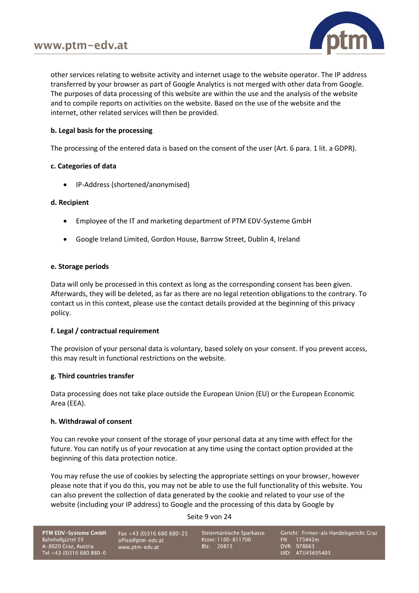

other services relating to website activity and internet usage to the website operator. The IP address transferred by your browser as part of Google Analytics is not merged with other data from Google. The purposes of data processing of this website are within the use and the analysis of the website and to compile reports on activities on the website. Based on the use of the website and the internet, other related services will then be provided.

## **b. Legal basis for the processing**

The processing of the entered data is based on the consent of the user (Art. 6 para. 1 lit. a GDPR).

## **c. Categories of data**

• IP-Address (shortened/anonymised)

## **d. Recipient**

- Employee of the IT and marketing department of PTM EDV-Systeme GmbH
- Google Ireland Limited, Gordon House, Barrow Street, Dublin 4, Ireland

## **e. Storage periods**

Data will only be processed in this context as long as the corresponding consent has been given. Afterwards, they will be deleted, as far as there are no legal retention obligations to the contrary. To contact us in this context, please use the contact details provided at the beginning of this privacy policy.

## **f. Legal / contractual requirement**

The provision of your personal data is voluntary, based solely on your consent. If you prevent access, this may result in functional restrictions on the website.

## **g. Third countries transfer**

Data processing does not take place outside the European Union (EU) or the European Economic Area (EEA).

## **h. Withdrawal of consent**

You can revoke your consent of the storage of your personal data at any time with effect for the future. You can notify us of your revocation at any time using the contact option provided at the beginning of this data protection notice.

You may refuse the use of cookies by selecting the appropriate settings on your browser, however please note that if you do this, you may not be able to use the full functionality of this website. You can also prevent the collection of data generated by the cookie and related to your use of the website (including your IP address) to Google and the processing of this data by Google by

Seite 9 von 24

PTM EDV-Systeme GmbH Bahnhofgürtel 59 A-8020 Graz, Austria<br>Tel +43 (0)316 680 880-0

Fax +43 (0)316 680 880-25 office@ptm-edv.at www.ptm-edv.at

Steiermärkische Sparkasse Ktonr: 1100-811700 Blz: 20815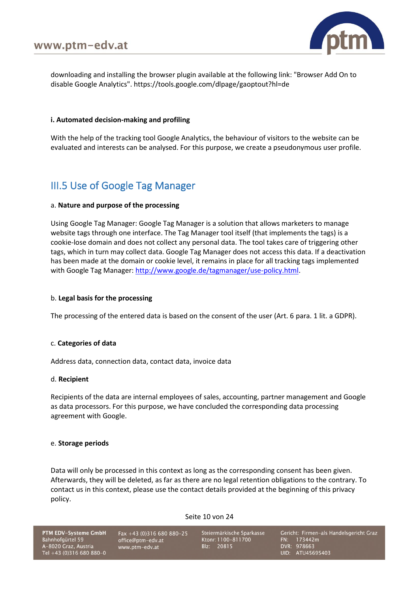

downloading and installing the browser plugin available at the following link: "Browser Add On to disable Google Analytics". https://tools.google.com/dlpage/gaoptout?hl=de

## **i. Automated decision-making and profiling**

With the help of the tracking tool Google Analytics, the behaviour of visitors to the website can be evaluated and interests can be analysed. For this purpose, we create a pseudonymous user profile.

# III.5 Use of Google Tag Manager

#### a. **Nature and purpose of the processing**

Using Google Tag Manager: Google Tag Manager is a solution that allows marketers to manage website tags through one interface. The Tag Manager tool itself (that implements the tags) is a cookie-lose domain and does not collect any personal data. The tool takes care of triggering other tags, which in turn may collect data. Google Tag Manager does not access this data. If a deactivation has been made at the domain or cookie level, it remains in place for all tracking tags implemented with Google Tag Manager[: http://www.google.de/tagmanager/use-policy.html.](http://www.google.de/tagmanager/use-policy.html)

#### b. **Legal basis for the processing**

The processing of the entered data is based on the consent of the user (Art. 6 para. 1 lit. a GDPR).

#### c. **Categories of data**

Address data, connection data, contact data, invoice data

#### d. **Recipient**

Recipients of the data are internal employees of sales, accounting, partner management and Google as data processors. For this purpose, we have concluded the corresponding data processing agreement with Google.

#### e. **Storage periods**

Data will only be processed in this context as long as the corresponding consent has been given. Afterwards, they will be deleted, as far as there are no legal retention obligations to the contrary. To contact us in this context, please use the contact details provided at the beginning of this privacy policy.

#### Seite 10 von 24

PTM EDV-Systeme GmbH Bahnhofgürtel 59 A-8020 Graz, Austria<br>Tel +43 (0)316 680 880-0

Fax +43 (0)316 680 880-25 office@ptm-edv.at www.ptm-edv.at

Steiermärkische Sparkasse Ktonr: 1100-811700 Blz: 20815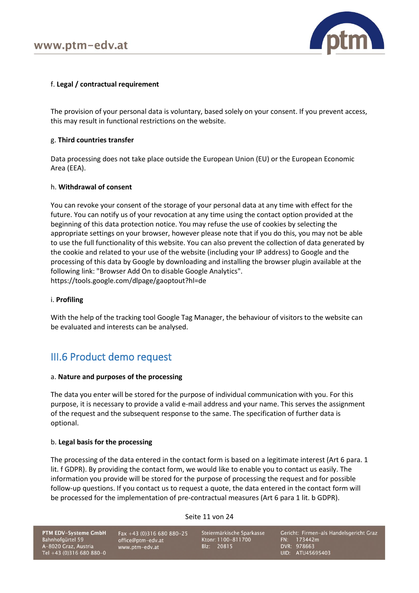

## f. **Legal / contractual requirement**

The provision of your personal data is voluntary, based solely on your consent. If you prevent access, this may result in functional restrictions on the website.

## g. **Third countries transfer**

Data processing does not take place outside the European Union (EU) or the European Economic Area (EEA).

## h. **Withdrawal of consent**

You can revoke your consent of the storage of your personal data at any time with effect for the future. You can notify us of your revocation at any time using the contact option provided at the beginning of this data protection notice. You may refuse the use of cookies by selecting the appropriate settings on your browser, however please note that if you do this, you may not be able to use the full functionality of this website. You can also prevent the collection of data generated by the cookie and related to your use of the website (including your IP address) to Google and the processing of this data by Google by downloading and installing the browser plugin available at the following link: "Browser Add On to disable Google Analytics". https://tools.google.com/dlpage/gaoptout?hl=de

#### i. **Profiling**

With the help of the tracking tool Google Tag Manager, the behaviour of visitors to the website can be evaluated and interests can be analysed.

## III.6 Product demo request

#### a. **Nature and purposes of the processing**

The data you enter will be stored for the purpose of individual communication with you. For this purpose, it is necessary to provide a valid e-mail address and your name. This serves the assignment of the request and the subsequent response to the same. The specification of further data is optional.

## b. **Legal basis for the processing**

The processing of the data entered in the contact form is based on a legitimate interest (Art 6 para. 1 lit. f GDPR). By providing the contact form, we would like to enable you to contact us easily. The information you provide will be stored for the purpose of processing the request and for possible follow-up questions. If you contact us to request a quote, the data entered in the contact form will be processed for the implementation of pre-contractual measures (Art 6 para 1 lit. b GDPR).

Seite 11 von 24

PTM EDV-Systeme GmbH Bahnhofgürtel 59 A-8020 Graz, Austria<br>Tel +43 (0)316 680 880-0

Fax +43 (0)316 680 880-25 office@ptm-edv.at www.ptm-edv.at

Steiermärkische Sparkasse Ktonr: 1100-811700 Blz: 20815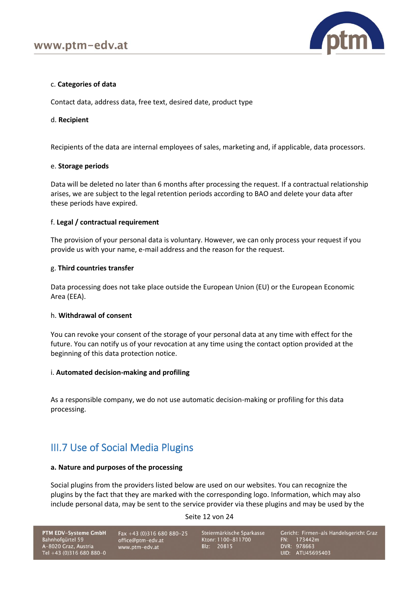

## c. **Categories of data**

Contact data, address data, free text, desired date, product type

## d. **Recipient**

Recipients of the data are internal employees of sales, marketing and, if applicable, data processors.

#### e. **Storage periods**

Data will be deleted no later than 6 months after processing the request. If a contractual relationship arises, we are subject to the legal retention periods according to BAO and delete your data after these periods have expired.

## f. **Legal / contractual requirement**

The provision of your personal data is voluntary. However, we can only process your request if you provide us with your name, e-mail address and the reason for the request.

#### g. **Third countries transfer**

Data processing does not take place outside the European Union (EU) or the European Economic Area (EEA).

## h. **Withdrawal of consent**

You can revoke your consent of the storage of your personal data at any time with effect for the future. You can notify us of your revocation at any time using the contact option provided at the beginning of this data protection notice.

## i. **Automated decision-making and profiling**

As a responsible company, we do not use automatic decision-making or profiling for this data processing.

## III.7 Use of Social Media Plugins

## **a. Nature and purposes of the processing**

Social plugins from the providers listed below are used on our websites. You can recognize the plugins by the fact that they are marked with the corresponding logo. Information, which may also include personal data, may be sent to the service provider via these plugins and may be used by the

Seite 12 von 24

PTM EDV-Systeme GmbH Bahnhofgürtel 59 A-8020 Graz, Austria<br>Tel +43 (0)316 680 880-0

Fax +43 (0)316 680 880-25 office@ptm-edv.at www.ptm-edv.at

Steiermärkische Sparkasse Ktonr: 1100-811700 Blz: 20815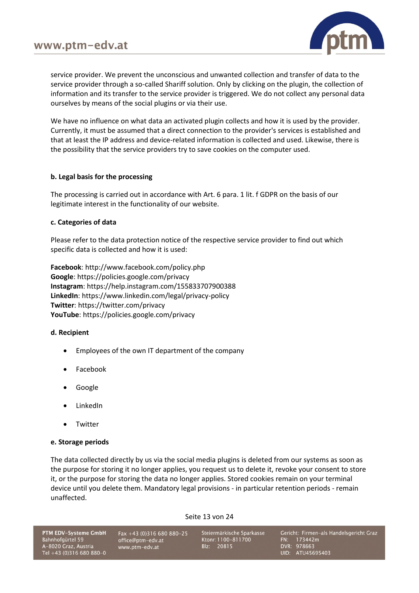

service provider. We prevent the unconscious and unwanted collection and transfer of data to the service provider through a so-called Shariff solution. Only by clicking on the plugin, the collection of information and its transfer to the service provider is triggered. We do not collect any personal data ourselves by means of the social plugins or via their use.

We have no influence on what data an activated plugin collects and how it is used by the provider. Currently, it must be assumed that a direct connection to the provider's services is established and that at least the IP address and device-related information is collected and used. Likewise, there is the possibility that the service providers try to save cookies on the computer used.

## **b. Legal basis for the processing**

The processing is carried out in accordance with Art. 6 para. 1 lit. f GDPR on the basis of our legitimate interest in the functionality of our website.

## **c. Categories of data**

Please refer to the data protection notice of the respective service provider to find out which specific data is collected and how it is used:

**Facebook**: <http://www.facebook.com/policy.php> **Google**: <https://policies.google.com/privacy> **Instagram**: <https://help.instagram.com/155833707900388> **LinkedIn**: <https://www.linkedin.com/legal/privacy-policy> **Twitter**: <https://twitter.com/privacy> **YouTube**: <https://policies.google.com/privacy>

## **d. Recipient**

- Employees of the own IT department of the company
- Facebook
- Google
- LinkedIn
- **Twitter**

## **e. Storage periods**

The data collected directly by us via the social media plugins is deleted from our systems as soon as the purpose for storing it no longer applies, you request us to delete it, revoke your consent to store it, or the purpose for storing the data no longer applies. Stored cookies remain on your terminal device until you delete them. Mandatory legal provisions - in particular retention periods - remain unaffected.

Seite 13 von 24

PTM EDV-Systeme GmbH Bahnhofgürtel 59 A-8020 Graz, Austria<br>Tel +43 (0)316 680 880-0

Fax +43 (0)316 680 880-25 office@ptm-edv.at www.ptm-edv.at

Steiermärkische Sparkasse Ktonr: 1100-811700 Blz: 20815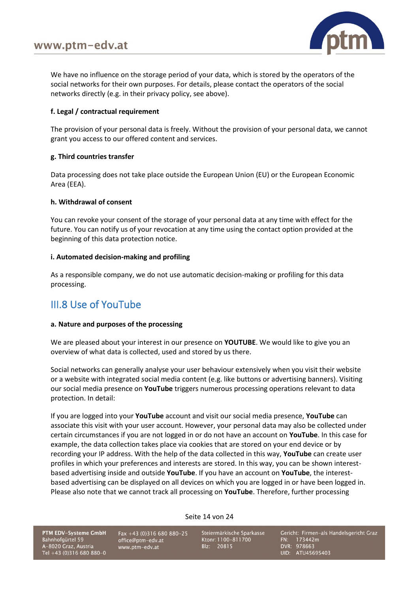

We have no influence on the storage period of your data, which is stored by the operators of the social networks for their own purposes. For details, please contact the operators of the social networks directly (e.g. in their privacy policy, see above).

## **f. Legal / contractual requirement**

The provision of your personal data is freely. Without the provision of your personal data, we cannot grant you access to our offered content and services.

## **g. Third countries transfer**

Data processing does not take place outside the European Union (EU) or the European Economic Area (EEA).

## **h. Withdrawal of consent**

You can revoke your consent of the storage of your personal data at any time with effect for the future. You can notify us of your revocation at any time using the contact option provided at the beginning of this data protection notice.

## **i. Automated decision-making and profiling**

As a responsible company, we do not use automatic decision-making or profiling for this data processing.

## III.8 Use of YouTube

## **a. Nature and purposes of the processing**

We are pleased about your interest in our presence on **YOUTUBE**. We would like to give you an overview of what data is collected, used and stored by us there.

Social networks can generally analyse your user behaviour extensively when you visit their website or a website with integrated social media content (e.g. like buttons or advertising banners). Visiting our social media presence on **YouTube** triggers numerous processing operations relevant to data protection. In detail:

If you are logged into your **YouTube** account and visit our social media presence, **YouTube** can associate this visit with your user account. However, your personal data may also be collected under certain circumstances if you are not logged in or do not have an account on **YouTube**. In this case for example, the data collection takes place via cookies that are stored on your end device or by recording your IP address. With the help of the data collected in this way, **YouTube** can create user profiles in which your preferences and interests are stored. In this way, you can be shown interestbased advertising inside and outside **YouTube**. If you have an account on **YouTube**, the interestbased advertising can be displayed on all devices on which you are logged in or have been logged in. Please also note that we cannot track all processing on **YouTube**. Therefore, further processing

Seite 14 von 24

PTM EDV-Systeme GmbH Bahnhofgürtel 59 A-8020 Graz, Austria Tel +43 (0)316 680 880-0

Fax +43 (0)316 680 880-25 office@ptm-edv.at www.ptm-edv.at

Steiermärkische Sparkasse Ktonr: 1100-811700 Blz: 20815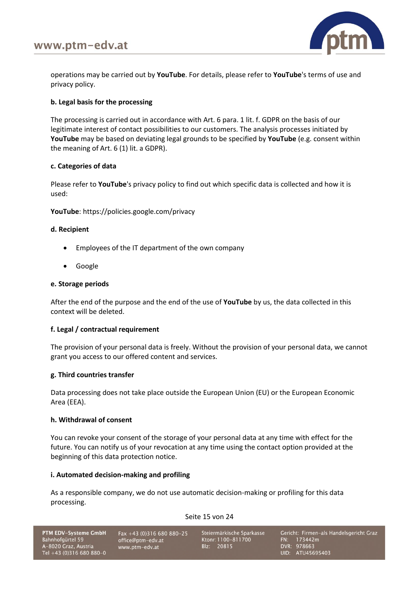

operations may be carried out by **YouTube**. For details, please refer to **YouTube**'s terms of use and privacy policy.

## **b. Legal basis for the processing**

The processing is carried out in accordance with Art. 6 para. 1 lit. f. GDPR on the basis of our legitimate interest of contact possibilities to our customers. The analysis processes initiated by **YouTube** may be based on deviating legal grounds to be specified by **YouTube** (e.g. consent within the meaning of Art. 6 (1) lit. a GDPR).

## **c. Categories of data**

Please refer to **YouTube**'s privacy policy to find out which specific data is collected and how it is used:

**YouTube**:<https://policies.google.com/privacy>

## **d. Recipient**

- Employees of the IT department of the own company
- Google

## **e. Storage periods**

After the end of the purpose and the end of the use of **YouTube** by us, the data collected in this context will be deleted.

## **f. Legal / contractual requirement**

The provision of your personal data is freely. Without the provision of your personal data, we cannot grant you access to our offered content and services.

## **g. Third countries transfer**

Data processing does not take place outside the European Union (EU) or the European Economic Area (EEA).

## **h. Withdrawal of consent**

You can revoke your consent of the storage of your personal data at any time with effect for the future. You can notify us of your revocation at any time using the contact option provided at the beginning of this data protection notice.

## **i. Automated decision-making and profiling**

As a responsible company, we do not use automatic decision-making or profiling for this data processing.

## Seite 15 von 24

| PTM EDV-Systeme GmbH     |
|--------------------------|
| Bahnhofqürtel 59         |
| A-8020 Graz, Austria     |
| Tel +43 (0)316 680 880-0 |

Fax +43 (0)316 680 880-25 office@ptm-edv.at www.ptm-edv.at

Steiermärkische Sparkasse Ktonr: 1100-811700 Blz: 20815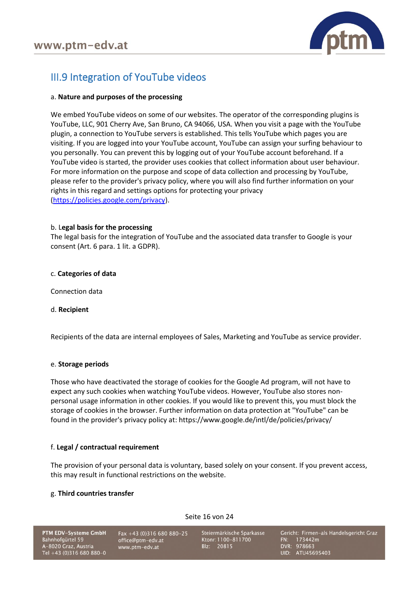

# III.9 Integration of YouTube videos

## a. **Nature and purposes of the processing**

We embed YouTube videos on some of our websites. The operator of the corresponding plugins is YouTube, LLC, 901 Cherry Ave, San Bruno, CA 94066, USA. When you visit a page with the YouTube plugin, a connection to YouTube servers is established. This tells YouTube which pages you are visiting. If you are logged into your YouTube account, YouTube can assign your surfing behaviour to you personally. You can prevent this by logging out of your YouTube account beforehand. If a YouTube video is started, the provider uses cookies that collect information about user behaviour. For more information on the purpose and scope of data collection and processing by YouTube, please refer to the provider's privacy policy, where you will also find further information on your rights in this regard and settings options for protecting your privacy [\(https://policies.google.com/privacy\)](https://policies.google.com/privacy).

## b. L**egal basis for the processing**

The legal basis for the integration of YouTube and the associated data transfer to Google is your consent (Art. 6 para. 1 lit. a GDPR).

## c. **Categories of data**

Connection data

## d. **Recipient**

Recipients of the data are internal employees of Sales, Marketing and YouTube as service provider.

## e. **Storage periods**

Those who have deactivated the storage of cookies for the Google Ad program, will not have to expect any such cookies when watching YouTube videos. However, YouTube also stores nonpersonal usage information in other cookies. If you would like to prevent this, you must block the storage of cookies in the browser. Further information on data protection at "YouTube" can be found in the provider's privacy policy at: https://www.google.de/intl/de/policies/privacy/

## f. **Legal / contractual requirement**

The provision of your personal data is voluntary, based solely on your consent. If you prevent access, this may result in functional restrictions on the website.

Seite 16 von 24

## g. **Third countries transfer**

PTM EDV-Systeme GmbH Bahnhofgürtel 59 A-8020 Graz, Austria<br>Tel +43 (0)316 680 880-0

Fax +43 (0)316 680 880-25 office@ptm-edv.at www.ptm-edv.at

Steiermärkische Sparkasse Ktonr: 1100-811700 Blz: 20815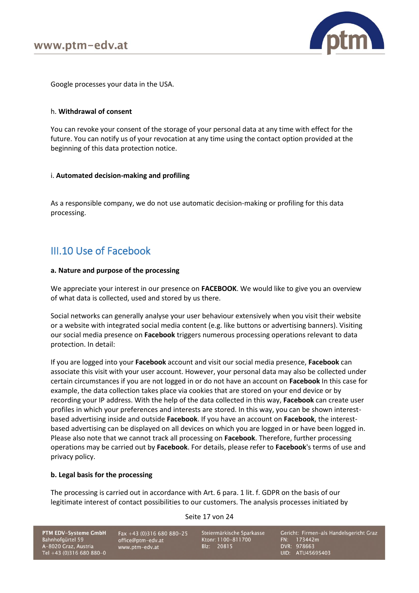

Google processes your data in the USA.

#### h. **Withdrawal of consent**

You can revoke your consent of the storage of your personal data at any time with effect for the future. You can notify us of your revocation at any time using the contact option provided at the beginning of this data protection notice.

#### i. **Automated decision-making and profiling**

As a responsible company, we do not use automatic decision-making or profiling for this data processing.

## III.10 Use of Facebook

#### **a. Nature and purpose of the processing**

We appreciate your interest in our presence on **FACEBOOK**. We would like to give you an overview of what data is collected, used and stored by us there.

Social networks can generally analyse your user behaviour extensively when you visit their website or a website with integrated social media content (e.g. like buttons or advertising banners). Visiting our social media presence on **Facebook** triggers numerous processing operations relevant to data protection. In detail:

If you are logged into your **Facebook** account and visit our social media presence, **Facebook** can associate this visit with your user account. However, your personal data may also be collected under certain circumstances if you are not logged in or do not have an account on **Facebook** In this case for example, the data collection takes place via cookies that are stored on your end device or by recording your IP address. With the help of the data collected in this way, **Facebook** can create user profiles in which your preferences and interests are stored. In this way, you can be shown interestbased advertising inside and outside **Facebook**. If you have an account on **Facebook**, the interestbased advertising can be displayed on all devices on which you are logged in or have been logged in. Please also note that we cannot track all processing on **Facebook**. Therefore, further processing operations may be carried out by **Facebook**. For details, please refer to **Facebook**'s terms of use and privacy policy.

#### **b. Legal basis for the processing**

The processing is carried out in accordance with Art. 6 para. 1 lit. f. GDPR on the basis of our legitimate interest of contact possibilities to our customers. The analysis processes initiated by

Seite 17 von 24

PTM EDV-Systeme GmbH Bahnhofgürtel 59 A-8020 Graz, Austria<br>Tel +43 (0)316 680 880-0

Fax +43 (0)316 680 880-25 office@ptm-edv.at www.ptm-edv.at

Steiermärkische Sparkasse Ktonr: 1100-811700 Blz: 20815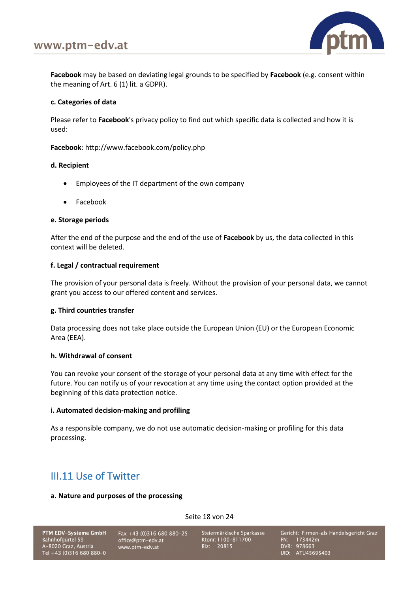

**Facebook** may be based on deviating legal grounds to be specified by **Facebook** (e.g. consent within the meaning of Art. 6 (1) lit. a GDPR).

## **c. Categories of data**

Please refer to **Facebook**'s privacy policy to find out which specific data is collected and how it is used:

**Facebook**:<http://www.facebook.com/policy.php>

## **d. Recipient**

- Employees of the IT department of the own company
- Facebook

## **e. Storage periods**

After the end of the purpose and the end of the use of **Facebook** by us, the data collected in this context will be deleted.

## **f. Legal / contractual requirement**

The provision of your personal data is freely. Without the provision of your personal data, we cannot grant you access to our offered content and services.

## **g. Third countries transfer**

Data processing does not take place outside the European Union (EU) or the European Economic Area (EEA).

## **h. Withdrawal of consent**

You can revoke your consent of the storage of your personal data at any time with effect for the future. You can notify us of your revocation at any time using the contact option provided at the beginning of this data protection notice.

## **i. Automated decision-making and profiling**

As a responsible company, we do not use automatic decision-making or profiling for this data processing.

## III.11 Use of Twitter

#### **a. Nature and purposes of the processing**

PTM EDV-Systeme GmbH Bahnhofgürtel 59 A-8020 Graz, Austria<br>Tel +43 (0)316 680 880-0

Fax +43 (0)316 680 880-25 office@ptm-edv.at www.ptm-edv.at

Steiermärkische Sparkasse Ktonr: 1100-811700 Blz: 20815

Seite 18 von 24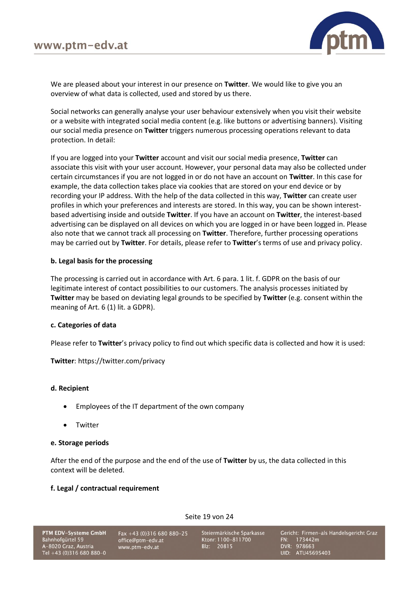

We are pleased about your interest in our presence on **Twitter**. We would like to give you an overview of what data is collected, used and stored by us there.

Social networks can generally analyse your user behaviour extensively when you visit their website or a website with integrated social media content (e.g. like buttons or advertising banners). Visiting our social media presence on **Twitter** triggers numerous processing operations relevant to data protection. In detail:

If you are logged into your **Twitter** account and visit our social media presence, **Twitter** can associate this visit with your user account. However, your personal data may also be collected under certain circumstances if you are not logged in or do not have an account on **Twitter**. In this case for example, the data collection takes place via cookies that are stored on your end device or by recording your IP address. With the help of the data collected in this way, **Twitter** can create user profiles in which your preferences and interests are stored. In this way, you can be shown interestbased advertising inside and outside **Twitter**. If you have an account on **Twitter**, the interest-based advertising can be displayed on all devices on which you are logged in or have been logged in. Please also note that we cannot track all processing on **Twitter**. Therefore, further processing operations may be carried out by **Twitter**. For details, please refer to **Twitter**'s terms of use and privacy policy.

## **b. Legal basis for the processing**

The processing is carried out in accordance with Art. 6 para. 1 lit. f. GDPR on the basis of our legitimate interest of contact possibilities to our customers. The analysis processes initiated by **Twitter** may be based on deviating legal grounds to be specified by **Twitter** (e.g. consent within the meaning of Art. 6 (1) lit. a GDPR).

## **c. Categories of data**

Please refer to **Twitter**'s privacy policy to find out which specific data is collected and how it is used:

**Twitter**:<https://twitter.com/privacy>

## **d. Recipient**

- Employees of the IT department of the own company
- Twitter

## **e. Storage periods**

After the end of the purpose and the end of the use of **Twitter** by us, the data collected in this context will be deleted.

## **f. Legal / contractual requirement**

Gericht: Firmen-als Handelsgericht Graz Steiermärkische Sparkasse PTM EDV-Systeme GmbH Fax +43 (0)316 680 880-25 office@ptm-edv.at Ktonr: 1100-811700 Bahnhofgürtel 59 FN: 173442m DVR: 978663<br>UID: ATU45695403 A-8020 Graz, Austria<br>Tel +43 (0)316 680 880-0 Blz: 20815 www.ptm-edv.at

Seite 19 von 24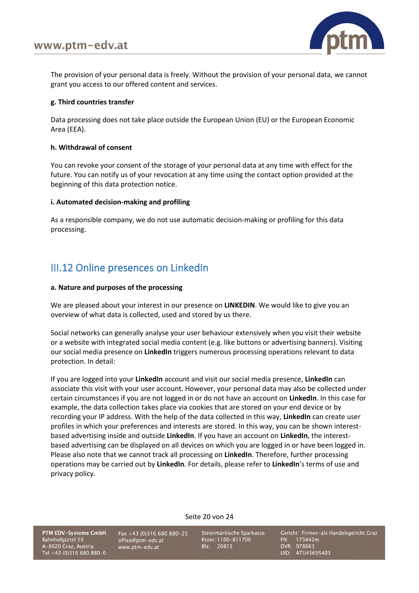

The provision of your personal data is freely. Without the provision of your personal data, we cannot grant you access to our offered content and services.

## **g. Third countries transfer**

Data processing does not take place outside the European Union (EU) or the European Economic Area (EEA).

## **h. Withdrawal of consent**

You can revoke your consent of the storage of your personal data at any time with effect for the future. You can notify us of your revocation at any time using the contact option provided at the beginning of this data protection notice.

## **i. Automated decision-making and profiling**

As a responsible company, we do not use automatic decision-making or profiling for this data processing.

# III.12 Online presences on LinkedIn

## **a. Nature and purposes of the processing**

We are pleased about your interest in our presence on **LINKEDIN**. We would like to give you an overview of what data is collected, used and stored by us there.

Social networks can generally analyse your user behaviour extensively when you visit their website or a website with integrated social media content (e.g. like buttons or advertising banners). Visiting our social media presence on **LinkedIn** triggers numerous processing operations relevant to data protection. In detail:

If you are logged into your **LinkedIn** account and visit our social media presence, **LinkedIn** can associate this visit with your user account. However, your personal data may also be collected under certain circumstances if you are not logged in or do not have an account on **LinkedIn**. In this case for example, the data collection takes place via cookies that are stored on your end device or by recording your IP address. With the help of the data collected in this way, **LinkedIn** can create user profiles in which your preferences and interests are stored. In this way, you can be shown interestbased advertising inside and outside **LinkedIn**. If you have an account on **LinkedIn**, the interestbased advertising can be displayed on all devices on which you are logged in or have been logged in. Please also note that we cannot track all processing on **LinkedIn**. Therefore, further processing operations may be carried out by **LinkedIn**. For details, please refer to **LinkedIn**'s terms of use and privacy policy.

Seite 20 von 24

PTM EDV-Systeme GmbH Bahnhofgürtel 59 A-8020 Graz, Austria Tel +43 (0)316 680 880-0

Fax +43 (0)316 680 880-25 office@ptm-edv.at www.ptm-edv.at

Steiermärkische Sparkasse Ktonr: 1100-811700 Blz: 20815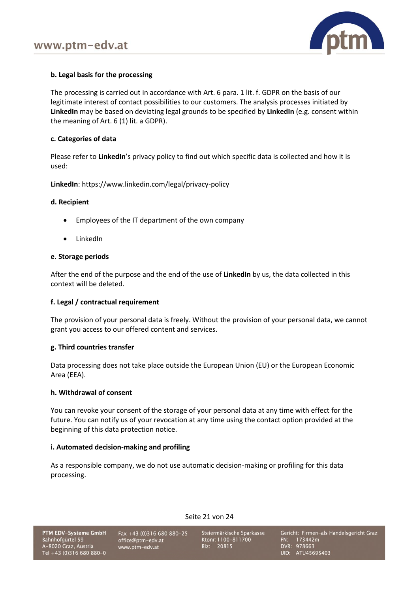

## **b. Legal basis for the processing**

The processing is carried out in accordance with Art. 6 para. 1 lit. f. GDPR on the basis of our legitimate interest of contact possibilities to our customers. The analysis processes initiated by **LinkedIn** may be based on deviating legal grounds to be specified by **LinkedIn** (e.g. consent within the meaning of Art. 6 (1) lit. a GDPR).

#### **c. Categories of data**

Please refer to **LinkedIn**'s privacy policy to find out which specific data is collected and how it is used:

**LinkedIn**: <https://www.linkedin.com/legal/privacy-policy>

#### **d. Recipient**

- Employees of the IT department of the own company
- LinkedIn

#### **e. Storage periods**

After the end of the purpose and the end of the use of **LinkedIn** by us, the data collected in this context will be deleted.

## **f. Legal / contractual requirement**

The provision of your personal data is freely. Without the provision of your personal data, we cannot grant you access to our offered content and services.

## **g. Third countries transfer**

Data processing does not take place outside the European Union (EU) or the European Economic Area (EEA).

#### **h. Withdrawal of consent**

You can revoke your consent of the storage of your personal data at any time with effect for the future. You can notify us of your revocation at any time using the contact option provided at the beginning of this data protection notice.

## **i. Automated decision-making and profiling**

As a responsible company, we do not use automatic decision-making or profiling for this data processing.

Seite 21 von 24

PTM EDV-Systeme GmbH Bahnhofgürtel 59 A-8020 Graz, Austria<br>Tel +43 (0)316 680 880-0

Fax +43 (0)316 680 880-25 office@ptm-edv.at www.ptm-edv.at

Steiermärkische Sparkasse Ktonr: 1100-811700 Blz: 20815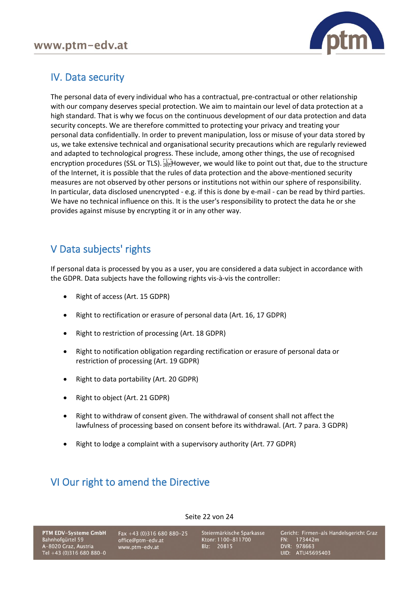

# IV. Data security

The personal data of every individual who has a contractual, pre-contractual or other relationship with our company deserves special protection. We aim to maintain our level of data protection at a high standard. That is why we focus on the continuous development of our data protection and data security concepts. We are therefore committed to protecting your privacy and treating your personal data confidentially. In order to prevent manipulation, loss or misuse of your data stored by us, we take extensive technical and organisational security precautions which are regularly reviewed and adapted to technological progress. These include, among other things, the use of recognised encryption procedures (SSL or TLS). However, we would like to point out that, due to the structure of the Internet, it is possible that the rules of data protection and the above-mentioned security measures are not observed by other persons or institutions not within our sphere of responsibility. In particular, data disclosed unencrypted - e.g. if this is done by e-mail - can be read by third parties. We have no technical influence on this. It is the user's responsibility to protect the data he or she provides against misuse by encrypting it or in any other way.

## V Data subjects' rights

If personal data is processed by you as a user, you are considered a data subject in accordance with the GDPR. Data subjects have the following rights vis-à-vis the controller:

- Right of access (Art. 15 GDPR)
- Right to rectification or erasure of personal data (Art. 16, 17 GDPR)
- Right to restriction of processing (Art. 18 GDPR)
- Right to notification obligation regarding rectification or erasure of personal data or restriction of processing (Art. 19 GDPR)
- Right to data portability (Art. 20 GDPR)
- Right to object (Art. 21 GDPR)
- Right to withdraw of consent given. The withdrawal of consent shall not affect the lawfulness of processing based on consent before its withdrawal. (Art. 7 para. 3 GDPR)

Seite 22 von 24

• Right to lodge a complaint with a supervisory authority (Art. 77 GDPR)

# VI Our right to amend the Directive

PTM EDV-Systeme GmbH Bahnhofgürtel 59 A-8020 Graz, Austria<br>Tel +43 (0)316 680 880-0

Fax +43 (0)316 680 880-25 office@ptm-edv.at www.ptm-edv.at

Steiermärkische Sparkasse Ktonr: 1100-811700 Blz: 20815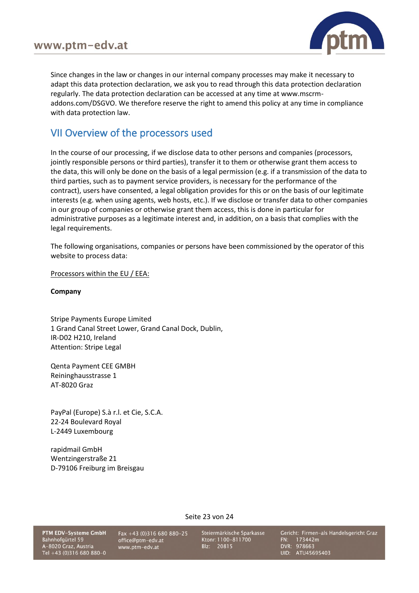

Since changes in the law or changes in our internal company processes may make it necessary to adapt this data protection declaration, we ask you to read through this data protection declaration regularly. The data protection declaration can be accessed at any time at www.mscrmaddons.com/DSGVO. We therefore reserve the right to amend this policy at any time in compliance with data protection law.

## VII Overview of the processors used

In the course of our processing, if we disclose data to other persons and companies (processors, jointly responsible persons or third parties), transfer it to them or otherwise grant them access to the data, this will only be done on the basis of a legal permission (e.g. if a transmission of the data to third parties, such as to payment service providers, is necessary for the performance of the contract), users have consented, a legal obligation provides for this or on the basis of our legitimate interests (e.g. when using agents, web hosts, etc.). If we disclose or transfer data to other companies in our group of companies or otherwise grant them access, this is done in particular for administrative purposes as a legitimate interest and, in addition, on a basis that complies with the legal requirements.

The following organisations, companies or persons have been commissioned by the operator of this website to process data:

Processors within the EU / EEA:

**Company**

Stripe Payments Europe Limited 1 Grand Canal Street Lower, Grand Canal Dock, Dublin, IR-D02 H210, Ireland Attention: Stripe Legal

Qenta Payment CEE GMBH Reininghausstrasse 1 AT-8020 Graz

PayPal (Europe) S.à r.l. et Cie, S.C.A. 22-24 Boulevard Royal L-2449 Luxembourg

rapidmail GmbH Wentzingerstraße 21 D-79106 Freiburg im Breisgau

PTM EDV-Systeme GmbH Bahnhofgürtel 59 A-8020 Graz, Austria<br>Tel +43 (0)316 680 880-0

Fax +43 (0)316 680 880-25 office@ptm-edv.at www.ptm-edv.at

Steiermärkische Sparkasse Ktonr: 1100-811700 Blz: 20815

Seite 23 von 24